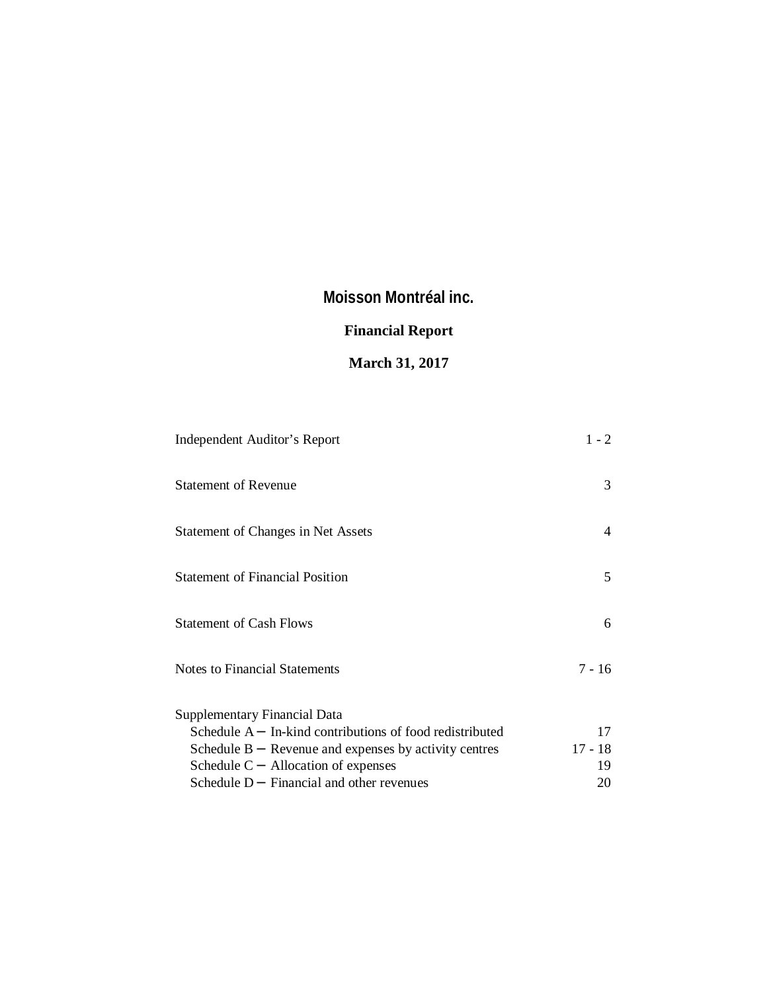# **Financial Report**

# **March 31, 2017**

| Independent Auditor's Report                             | $1 - 2$   |
|----------------------------------------------------------|-----------|
| <b>Statement of Revenue</b>                              | 3         |
| Statement of Changes in Net Assets                       | 4         |
| <b>Statement of Financial Position</b>                   | 5         |
| <b>Statement of Cash Flows</b>                           | 6         |
| Notes to Financial Statements                            | $7 - 16$  |
| <b>Supplementary Financial Data</b>                      |           |
| Schedule A - In-kind contributions of food redistributed | 17        |
| Schedule B - Revenue and expenses by activity centres    | $17 - 18$ |
| Schedule C - Allocation of expenses                      | 19        |
| Schedule D - Financial and other revenues                | 20        |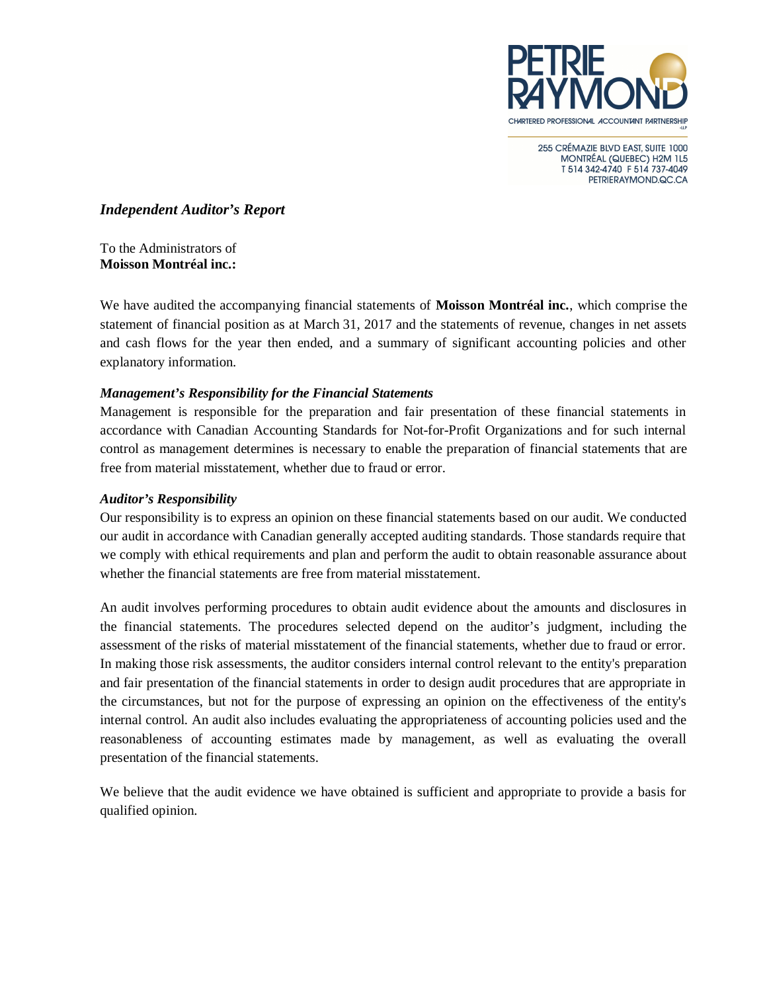

255 CRÉMAZIE BLVD EAST, SUITE 1000 MONTRÉAL (QUEBEC) H2M 1L5 T 514 342-4740 F 514 737-4049 PETRIERAYMOND.QC.CA

### *Independent Auditor's Report*

To the Administrators of **Moisson Montréal inc.:**

We have audited the accompanying financial statements of **Moisson Montréal inc.**, which comprise the statement of financial position as at March 31, 2017 and the statements of revenue, changes in net assets and cash flows for the year then ended, and a summary of significant accounting policies and other explanatory information.

### *Management's Responsibility for the Financial Statements*

Management is responsible for the preparation and fair presentation of these financial statements in accordance with Canadian Accounting Standards for Not-for-Profit Organizations and for such internal control as management determines is necessary to enable the preparation of financial statements that are free from material misstatement, whether due to fraud or error.

### *Auditor's Responsibility*

Our responsibility is to express an opinion on these financial statements based on our audit. We conducted our audit in accordance with Canadian generally accepted auditing standards. Those standards require that we comply with ethical requirements and plan and perform the audit to obtain reasonable assurance about whether the financial statements are free from material misstatement.

An audit involves performing procedures to obtain audit evidence about the amounts and disclosures in the financial statements. The procedures selected depend on the auditor's judgment, including the assessment of the risks of material misstatement of the financial statements, whether due to fraud or error. In making those risk assessments, the auditor considers internal control relevant to the entity's preparation and fair presentation of the financial statements in order to design audit procedures that are appropriate in the circumstances, but not for the purpose of expressing an opinion on the effectiveness of the entity's internal control. An audit also includes evaluating the appropriateness of accounting policies used and the reasonableness of accounting estimates made by management, as well as evaluating the overall presentation of the financial statements.

We believe that the audit evidence we have obtained is sufficient and appropriate to provide a basis for qualified opinion.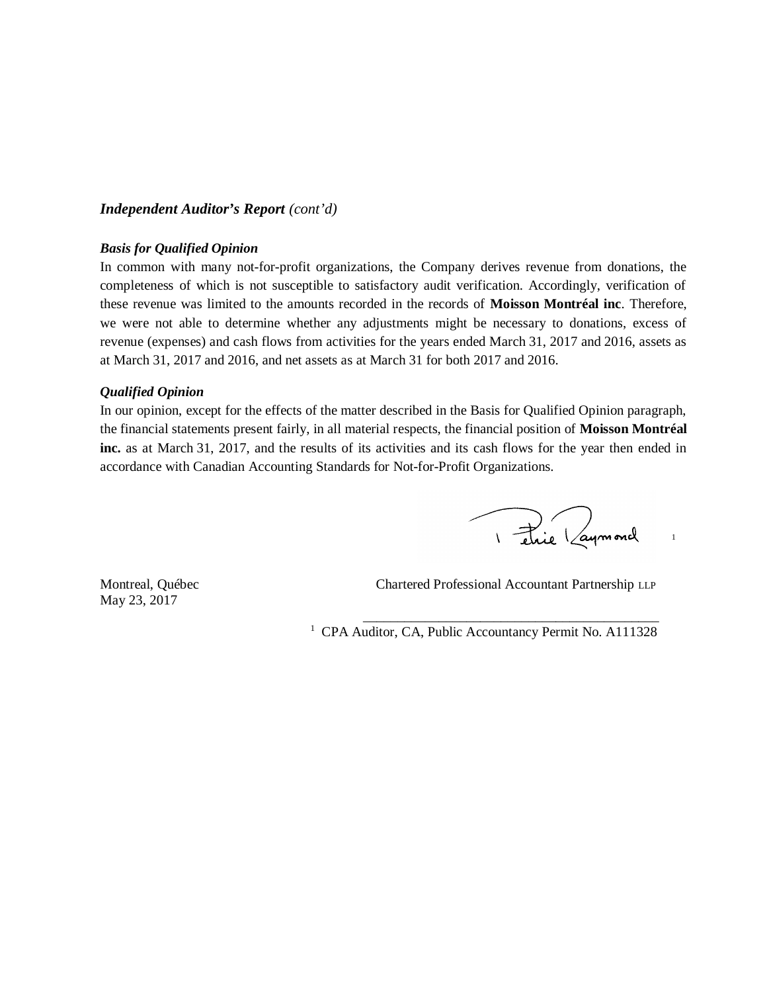### *Independent Auditor's Report (cont'd)*

#### *Basis for Qualified Opinion*

In common with many not-for-profit organizations, the Company derives revenue from donations, the completeness of which is not susceptible to satisfactory audit verification. Accordingly, verification of these revenue was limited to the amounts recorded in the records of **Moisson Montréal inc**. Therefore, we were not able to determine whether any adjustments might be necessary to donations, excess of revenue (expenses) and cash flows from activities for the years ended March 31, 2017 and 2016, assets as at March 31, 2017 and 2016, and net assets as at March 31 for both 2017 and 2016.

### *Qualified Opinion*

In our opinion, except for the effects of the matter described in the Basis for Qualified Opinion paragraph, the financial statements present fairly, in all material respects, the financial position of **Moisson Montréal inc.** as at March 31, 2017, and the results of its activities and its cash flows for the year then ended in accordance with Canadian Accounting Standards for Not-for-Profit Organizations.

I étaie (aymord

1

May 23, 2017

Montreal, Québec Chartered Professional Accountant Partnership LLP

\_\_\_\_\_\_\_\_\_\_\_\_\_\_\_\_\_\_\_\_\_\_\_\_\_\_\_\_\_\_\_\_\_\_\_\_\_\_\_\_\_\_\_

<sup>1</sup> CPA Auditor, CA, Public Accountancy Permit No. A111328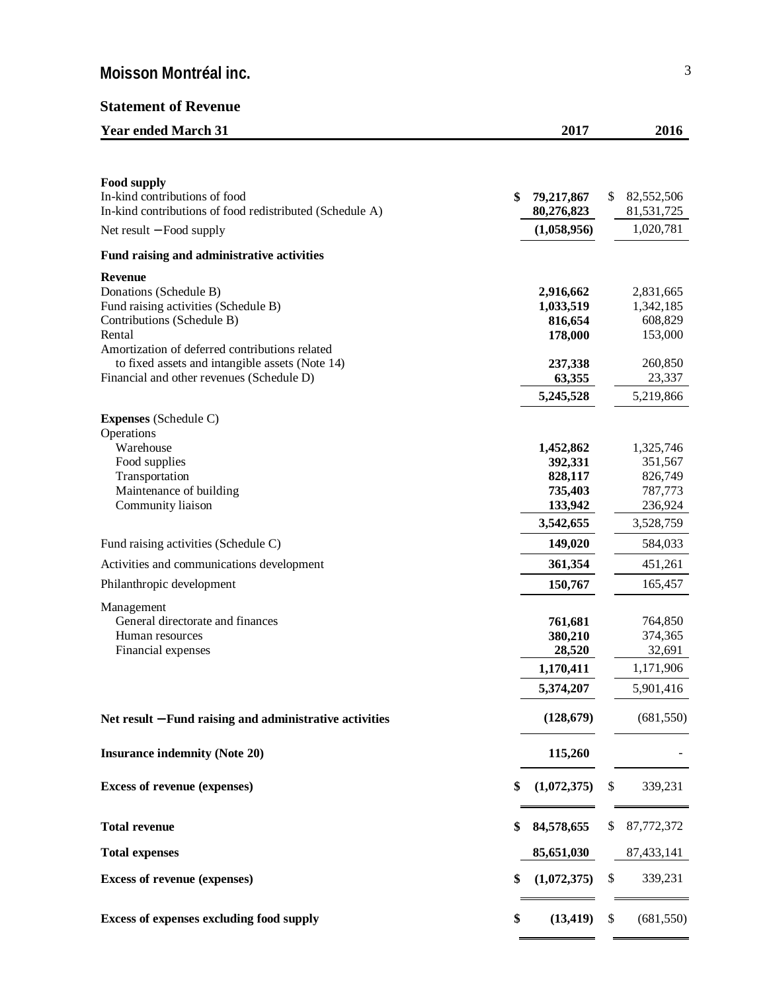## **Statement of Revenue**

| <b>Year ended March 31</b>                                                                                                                                                                                                                                                 | 2017                                                                           |    | 2016                                                                           |
|----------------------------------------------------------------------------------------------------------------------------------------------------------------------------------------------------------------------------------------------------------------------------|--------------------------------------------------------------------------------|----|--------------------------------------------------------------------------------|
|                                                                                                                                                                                                                                                                            |                                                                                |    |                                                                                |
| <b>Food supply</b><br>In-kind contributions of food<br>In-kind contributions of food redistributed (Schedule A)                                                                                                                                                            | \$<br>79,217,867<br>80,276,823                                                 | \$ | 82,552,506<br>81,531,725                                                       |
| Net result - Food supply                                                                                                                                                                                                                                                   | (1,058,956)                                                                    |    | 1,020,781                                                                      |
| Fund raising and administrative activities                                                                                                                                                                                                                                 |                                                                                |    |                                                                                |
| <b>Revenue</b><br>Donations (Schedule B)<br>Fund raising activities (Schedule B)<br>Contributions (Schedule B)<br>Rental<br>Amortization of deferred contributions related<br>to fixed assets and intangible assets (Note 14)<br>Financial and other revenues (Schedule D) | 2,916,662<br>1,033,519<br>816,654<br>178,000<br>237,338<br>63,355<br>5,245,528 |    | 2,831,665<br>1,342,185<br>608,829<br>153,000<br>260,850<br>23,337<br>5,219,866 |
| <b>Expenses</b> (Schedule C)                                                                                                                                                                                                                                               |                                                                                |    |                                                                                |
| Operations<br>Warehouse<br>Food supplies<br>Transportation<br>Maintenance of building<br>Community liaison                                                                                                                                                                 | 1,452,862<br>392,331<br>828,117<br>735,403<br>133,942<br>3,542,655             |    | 1,325,746<br>351,567<br>826,749<br>787,773<br>236,924<br>3,528,759             |
| Fund raising activities (Schedule C)                                                                                                                                                                                                                                       | 149,020                                                                        |    | 584,033                                                                        |
| Activities and communications development                                                                                                                                                                                                                                  | 361,354                                                                        |    | 451,261                                                                        |
| Philanthropic development                                                                                                                                                                                                                                                  | 150,767                                                                        |    | 165,457                                                                        |
| Management<br>General directorate and finances<br>Human resources<br>Financial expenses                                                                                                                                                                                    | 761,681<br>380,210<br>28,520<br>1,170,411<br>5,374,207                         |    | 764,850<br>374,365<br>32,691<br>1,171,906<br>5,901,416                         |
| Net result - Fund raising and administrative activities                                                                                                                                                                                                                    | (128, 679)                                                                     |    | (681, 550)                                                                     |
| <b>Insurance indemnity (Note 20)</b>                                                                                                                                                                                                                                       | 115,260                                                                        |    |                                                                                |
| <b>Excess of revenue (expenses)</b>                                                                                                                                                                                                                                        | \$<br>(1,072,375)                                                              | S  | 339,231                                                                        |
| <b>Total revenue</b>                                                                                                                                                                                                                                                       | \$<br>84,578,655                                                               | \$ | 87,772,372                                                                     |
| <b>Total expenses</b>                                                                                                                                                                                                                                                      | 85,651,030                                                                     |    | 87,433,141                                                                     |
| <b>Excess of revenue (expenses)</b>                                                                                                                                                                                                                                        | \$<br>(1,072,375)                                                              | \$ | 339,231                                                                        |
| <b>Excess of expenses excluding food supply</b>                                                                                                                                                                                                                            | \$<br>(13, 419)                                                                | S  | (681, 550)                                                                     |
|                                                                                                                                                                                                                                                                            |                                                                                |    |                                                                                |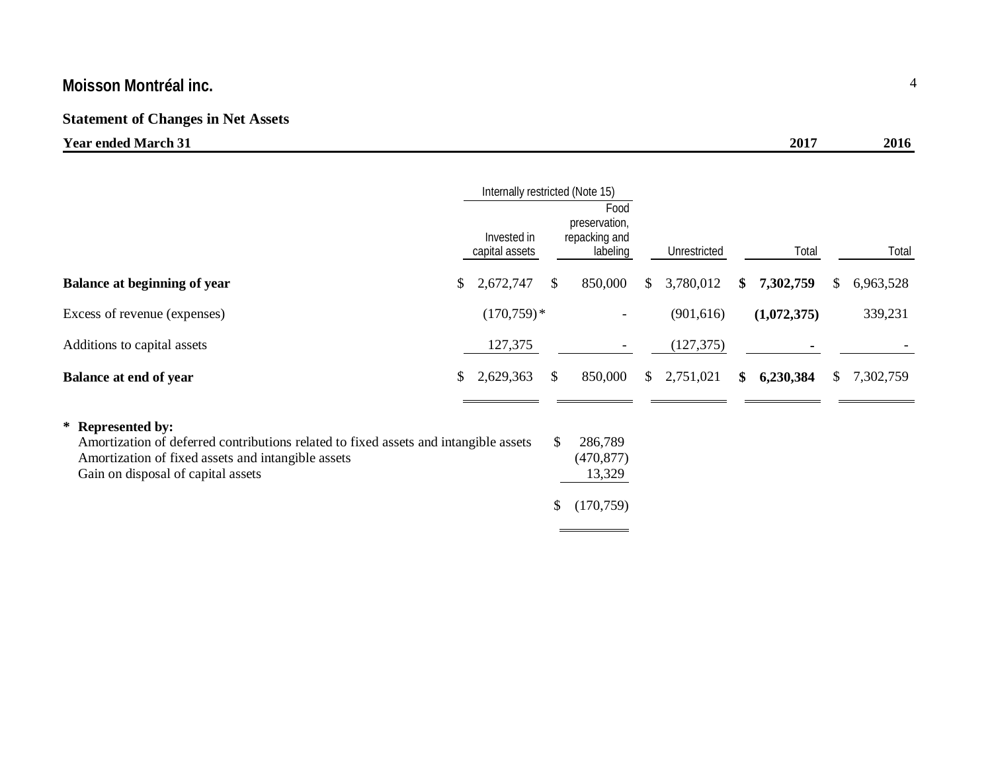# **Statement of Changes in Net Assets**

| Y ear ended  <br>$\sim$ March $\sim$ | 2017 | 20 |
|--------------------------------------|------|----|
|                                      |      |    |

|                                                                                                                                                                                                       | Internally restricted (Note 15) |                               |                     |                                                    |                 |                 |    |           |
|-------------------------------------------------------------------------------------------------------------------------------------------------------------------------------------------------------|---------------------------------|-------------------------------|---------------------|----------------------------------------------------|-----------------|-----------------|----|-----------|
|                                                                                                                                                                                                       |                                 | Invested in<br>capital assets |                     | Food<br>preservation,<br>repacking and<br>labeling | Unrestricted    | Total           |    | Total     |
| Balance at beginning of year                                                                                                                                                                          | \$                              | 2,672,747                     | \$                  | 850,000                                            | \$<br>3,780,012 | \$<br>7,302,759 | S. | 6,963,528 |
| Excess of revenue (expenses)                                                                                                                                                                          |                                 | $(170,759)*$                  |                     | $\overline{\phantom{a}}$                           | (901, 616)      | (1,072,375)     |    | 339,231   |
| Additions to capital assets                                                                                                                                                                           |                                 | 127,375                       |                     | $\overline{\phantom{a}}$                           | (127, 375)      |                 |    |           |
| <b>Balance at end of year</b>                                                                                                                                                                         | \$                              | 2,629,363                     | \$                  | 850,000                                            | \$<br>2,751,021 | \$<br>6,230,384 | S. | 7,302,759 |
| * Represented by:<br>Amortization of deferred contributions related to fixed assets and intangible assets<br>Amortization of fixed assets and intangible assets<br>Gain on disposal of capital assets |                                 |                               | <sup>\$</sup><br>\$ | 286,789<br>(470, 877)<br>13,329<br>(170, 759)      |                 |                 |    |           |

 $\equiv$ 

÷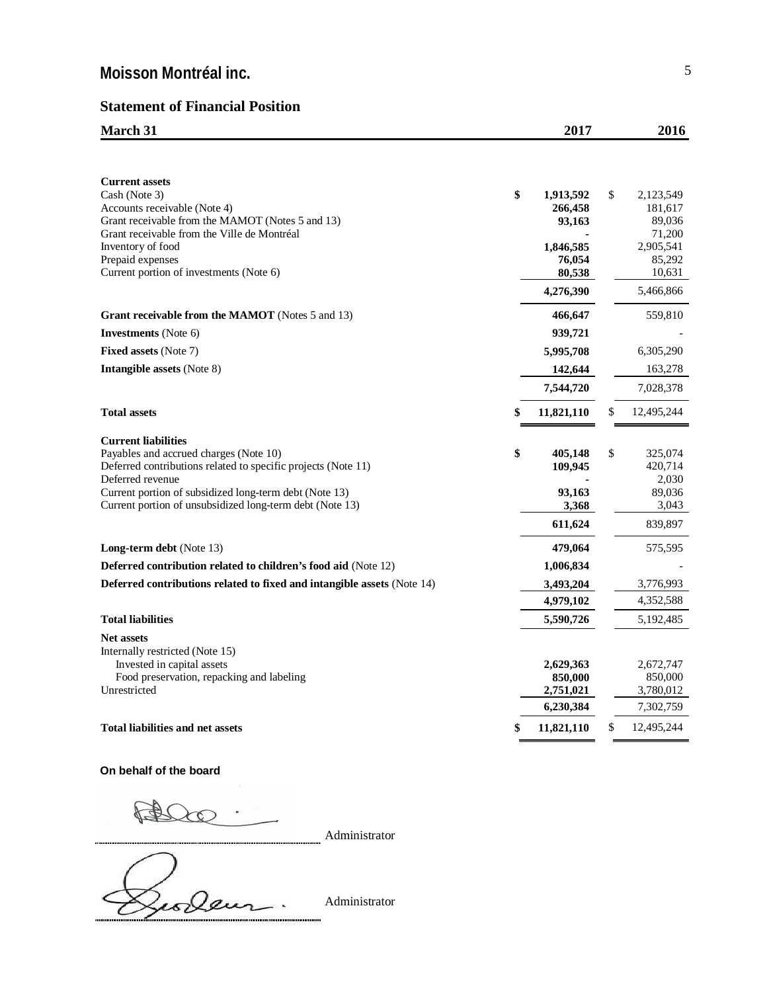## **Statement of Financial Position**

| <b>March 31</b> | 2017 | 2016 |
|-----------------|------|------|
|                 |      |      |

| <b>Current assets</b>                                                          |                      |                      |
|--------------------------------------------------------------------------------|----------------------|----------------------|
| Cash (Note 3)                                                                  | \$<br>1,913,592      | \$<br>2,123,549      |
| Accounts receivable (Note 4)                                                   | 266,458              | 181,617              |
| Grant receivable from the MAMOT (Notes 5 and 13)                               | 93,163               | 89,036               |
| Grant receivable from the Ville de Montréal                                    |                      | 71,200               |
| Inventory of food<br>Prepaid expenses                                          | 1,846,585<br>76,054  | 2,905,541<br>85,292  |
| Current portion of investments (Note 6)                                        | 80,538               | 10,631               |
|                                                                                | 4,276,390            | 5,466,866            |
| <b>Grant receivable from the MAMOT</b> (Notes 5 and 13)                        | 466,647              | 559,810              |
| <b>Investments</b> (Note 6)                                                    | 939,721              |                      |
| <b>Fixed assets (Note 7)</b>                                                   | 5,995,708            | 6,305,290            |
| <b>Intangible assets (Note 8)</b>                                              | 142,644              | 163,278              |
|                                                                                |                      |                      |
|                                                                                | 7,544,720            | 7,028,378            |
| <b>Total assets</b>                                                            | \$<br>11,821,110     | \$<br>12,495,244     |
| <b>Current liabilities</b>                                                     |                      |                      |
| Payables and accrued charges (Note 10)                                         | \$<br>405,148        | \$<br>325,074        |
| Deferred contributions related to specific projects (Note 11)                  | 109,945              | 420,714              |
| Deferred revenue<br>Current portion of subsidized long-term debt (Note 13)     |                      | 2,030<br>89,036      |
| Current portion of unsubsidized long-term debt (Note 13)                       | 93,163<br>3,368      | 3,043                |
|                                                                                | 611,624              | 839,897              |
|                                                                                |                      |                      |
| <b>Long-term debt</b> (Note 13)                                                | 479,064              | 575,595              |
| <b>Deferred contribution related to children's food aid (Note 12)</b>          | 1,006,834            |                      |
| <b>Deferred contributions related to fixed and intangible assets (Note 14)</b> | 3,493,204            | 3,776,993            |
|                                                                                | 4,979,102            | 4,352,588            |
| <b>Total liabilities</b>                                                       | 5,590,726            | 5,192,485            |
| <b>Net assets</b>                                                              |                      |                      |
| Internally restricted (Note 15)                                                |                      |                      |
| Invested in capital assets                                                     | 2,629,363<br>850,000 | 2,672,747<br>850,000 |
| Food preservation, repacking and labeling<br>Unrestricted                      | 2,751,021            | 3,780,012            |
|                                                                                | 6,230,384            | 7,302,759            |
| <b>Total liabilities and net assets</b>                                        | \$<br>11,821,110     | \$<br>12,495,244     |
|                                                                                |                      |                      |

**On behalf of the board**

A  $200$ 

Administrator

Zeoleur.

Administrator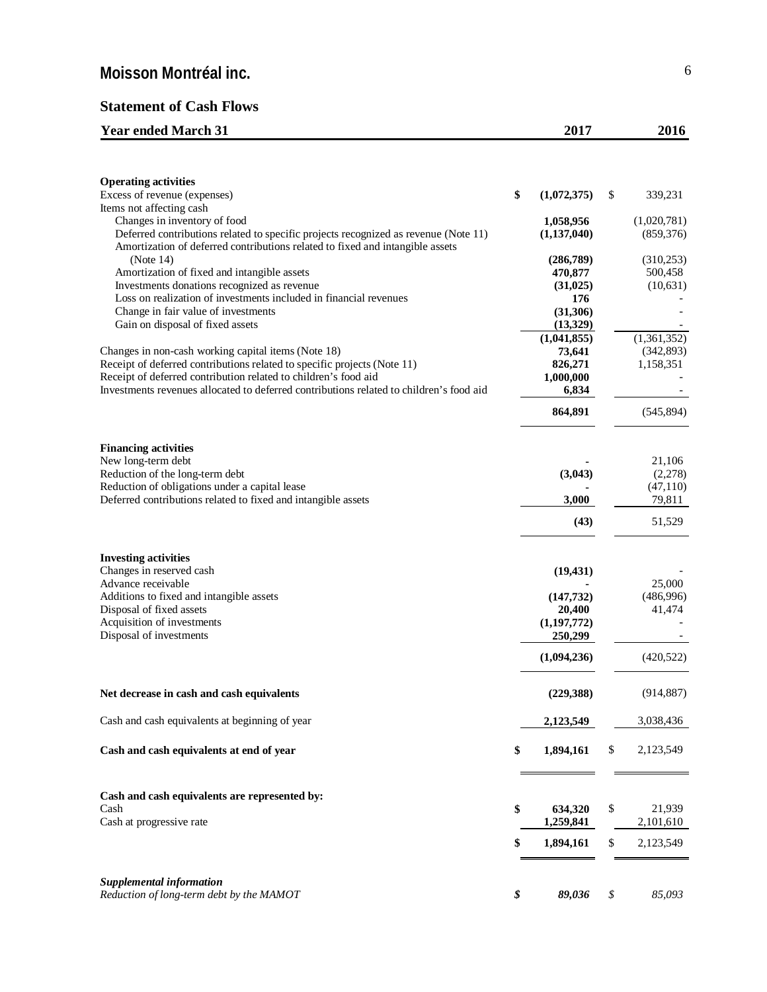## **Statement of Cash Flows**

| <b>Year ended March 31</b>                                                              | 2017                     | 2016            |
|-----------------------------------------------------------------------------------------|--------------------------|-----------------|
|                                                                                         |                          |                 |
| <b>Operating activities</b>                                                             |                          |                 |
| Excess of revenue (expenses)<br>Items not affecting cash                                | \$<br>(1,072,375)        | \$<br>339,231   |
| Changes in inventory of food                                                            | 1,058,956                | (1,020,781)     |
| Deferred contributions related to specific projects recognized as revenue (Note 11)     | (1, 137, 040)            | (859, 376)      |
| Amortization of deferred contributions related to fixed and intangible assets           |                          |                 |
| (Note 14)                                                                               | (286,789)                | (310, 253)      |
| Amortization of fixed and intangible assets                                             | 470,877                  | 500,458         |
| Investments donations recognized as revenue                                             | (31, 025)                | (10,631)        |
| Loss on realization of investments included in financial revenues                       | 176                      |                 |
| Change in fair value of investments                                                     | (31, 306)                |                 |
| Gain on disposal of fixed assets                                                        | (13,329)                 |                 |
|                                                                                         | (1,041,855)              | (1,361,352)     |
| Changes in non-cash working capital items (Note 18)                                     | 73,641                   | (342,893)       |
| Receipt of deferred contributions related to specific projects (Note 11)                | 826,271                  | 1,158,351       |
| Receipt of deferred contribution related to children's food aid                         | 1,000,000                |                 |
| Investments revenues allocated to deferred contributions related to children's food aid | 6,834                    |                 |
|                                                                                         | 864,891                  | (545, 894)      |
|                                                                                         |                          |                 |
| <b>Financing activities</b><br>New long-term debt                                       |                          | 21,106          |
| Reduction of the long-term debt                                                         | (3,043)                  | (2,278)         |
| Reduction of obligations under a capital lease                                          |                          | (47, 110)       |
| Deferred contributions related to fixed and intangible assets                           | 3,000                    | 79,811          |
|                                                                                         | (43)                     | 51,529          |
|                                                                                         |                          |                 |
| <b>Investing activities</b>                                                             |                          |                 |
| Changes in reserved cash                                                                | (19, 431)                |                 |
| Advance receivable                                                                      |                          | 25,000          |
| Additions to fixed and intangible assets                                                | (147, 732)               | (486,996)       |
| Disposal of fixed assets<br>Acquisition of investments                                  | 20,400                   | 41,474          |
| Disposal of investments                                                                 | (1, 197, 772)<br>250,299 |                 |
|                                                                                         |                          |                 |
|                                                                                         | (1,094,236)              | (420, 522)      |
| Net decrease in cash and cash equivalents                                               | (229, 388)               | (914, 887)      |
| Cash and cash equivalents at beginning of year                                          | 2,123,549                | 3,038,436       |
|                                                                                         |                          |                 |
| Cash and cash equivalents at end of year                                                | \$<br>1,894,161          | \$<br>2,123,549 |
| Cash and cash equivalents are represented by:                                           |                          |                 |
| Cash                                                                                    | \$<br>634,320            | \$<br>21,939    |
| Cash at progressive rate                                                                | 1,259,841                | 2,101,610       |
|                                                                                         | 1,894,161                | \$<br>2,123,549 |
| Supplemental information                                                                |                          |                 |
|                                                                                         |                          |                 |

*Reduction of long-term debt by the MAMOT \$ 89,036 \$ 85,093*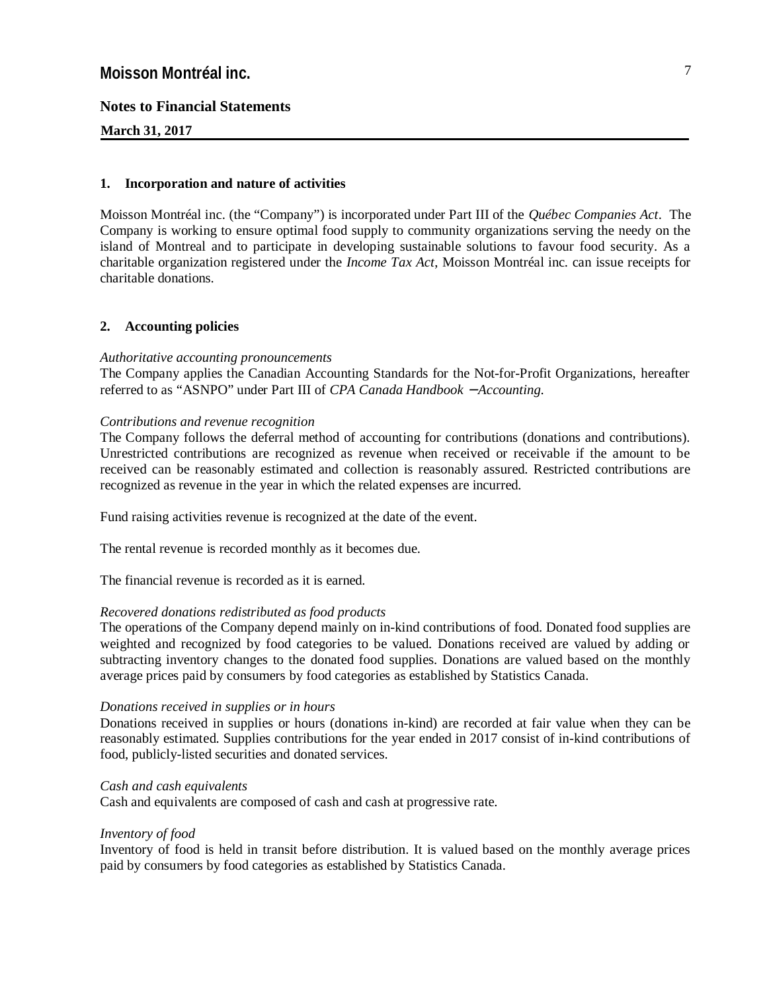### **Notes to Financial Statements**

#### **March 31, 2017**

#### **1. Incorporation and nature of activities**

Moisson Montréal inc. (the "Company") is incorporated under Part III of the *Québec Companies Act*. The Company is working to ensure optimal food supply to community organizations serving the needy on the island of Montreal and to participate in developing sustainable solutions to favour food security. As a charitable organization registered under the *Income Tax Act*, Moisson Montréal inc. can issue receipts for charitable donations.

#### **2. Accounting policies**

#### *Authoritative accounting pronouncements*

The Company applies the Canadian Accounting Standards for the Not-for-Profit Organizations, hereafter referred to as "ASNPO" under Part III of *CPA Canada Handbook - Accounting*.

#### *Contributions and revenue recognition*

The Company follows the deferral method of accounting for contributions (donations and contributions). Unrestricted contributions are recognized as revenue when received or receivable if the amount to be received can be reasonably estimated and collection is reasonably assured. Restricted contributions are recognized as revenue in the year in which the related expenses are incurred.

Fund raising activities revenue is recognized at the date of the event.

The rental revenue is recorded monthly as it becomes due.

The financial revenue is recorded as it is earned.

#### *Recovered donations redistributed as food products*

The operations of the Company depend mainly on in-kind contributions of food. Donated food supplies are weighted and recognized by food categories to be valued. Donations received are valued by adding or subtracting inventory changes to the donated food supplies. Donations are valued based on the monthly average prices paid by consumers by food categories as established by Statistics Canada.

#### *Donations received in supplies or in hours*

Donations received in supplies or hours (donations in-kind) are recorded at fair value when they can be reasonably estimated. Supplies contributions for the year ended in 2017 consist of in-kind contributions of food, publicly-listed securities and donated services.

### *Cash and cash equivalents*

Cash and equivalents are composed of cash and cash at progressive rate.

#### *Inventory of food*

Inventory of food is held in transit before distribution. It is valued based on the monthly average prices paid by consumers by food categories as established by Statistics Canada.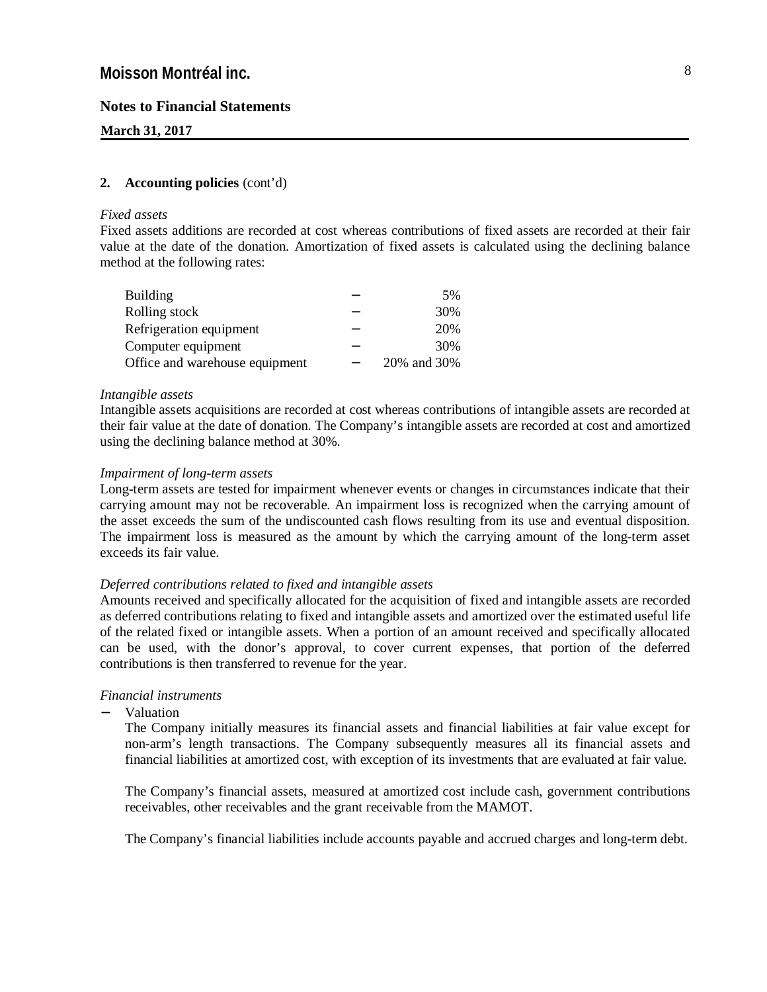#### **March 31, 2017**

#### **2. Accounting policies** (cont'd)

#### *Fixed assets*

Fixed assets additions are recorded at cost whereas contributions of fixed assets are recorded at their fair value at the date of the donation. Amortization of fixed assets is calculated using the declining balance method at the following rates:

| <b>Building</b>                |   | 5%          |
|--------------------------------|---|-------------|
| Rolling stock                  | - | 30%         |
| Refrigeration equipment        | - | 20%         |
| Computer equipment             | - | 30%         |
| Office and warehouse equipment | - | 20% and 30% |

#### *Intangible assets*

Intangible assets acquisitions are recorded at cost whereas contributions of intangible assets are recorded at their fair value at the date of donation. The Company's intangible assets are recorded at cost and amortized using the declining balance method at 30%.

#### *Impairment of long-term assets*

Long-term assets are tested for impairment whenever events or changes in circumstances indicate that their carrying amount may not be recoverable. An impairment loss is recognized when the carrying amount of the asset exceeds the sum of the undiscounted cash flows resulting from its use and eventual disposition. The impairment loss is measured as the amount by which the carrying amount of the long-term asset exceeds its fair value.

#### *Deferred contributions related to fixed and intangible assets*

Amounts received and specifically allocated for the acquisition of fixed and intangible assets are recorded as deferred contributions relating to fixed and intangible assets and amortized over the estimated useful life of the related fixed or intangible assets. When a portion of an amount received and specifically allocated can be used, with the donor's approval, to cover current expenses, that portion of the deferred contributions is then transferred to revenue for the year.

### *Financial instruments*

Valuation

 The Company initially measures its financial assets and financial liabilities at fair value except for non-arm's length transactions. The Company subsequently measures all its financial assets and financial liabilities at amortized cost, with exception of its investments that are evaluated at fair value.

 The Company's financial assets, measured at amortized cost include cash, government contributions receivables, other receivables and the grant receivable from the MAMOT.

The Company's financial liabilities include accounts payable and accrued charges and long-term debt.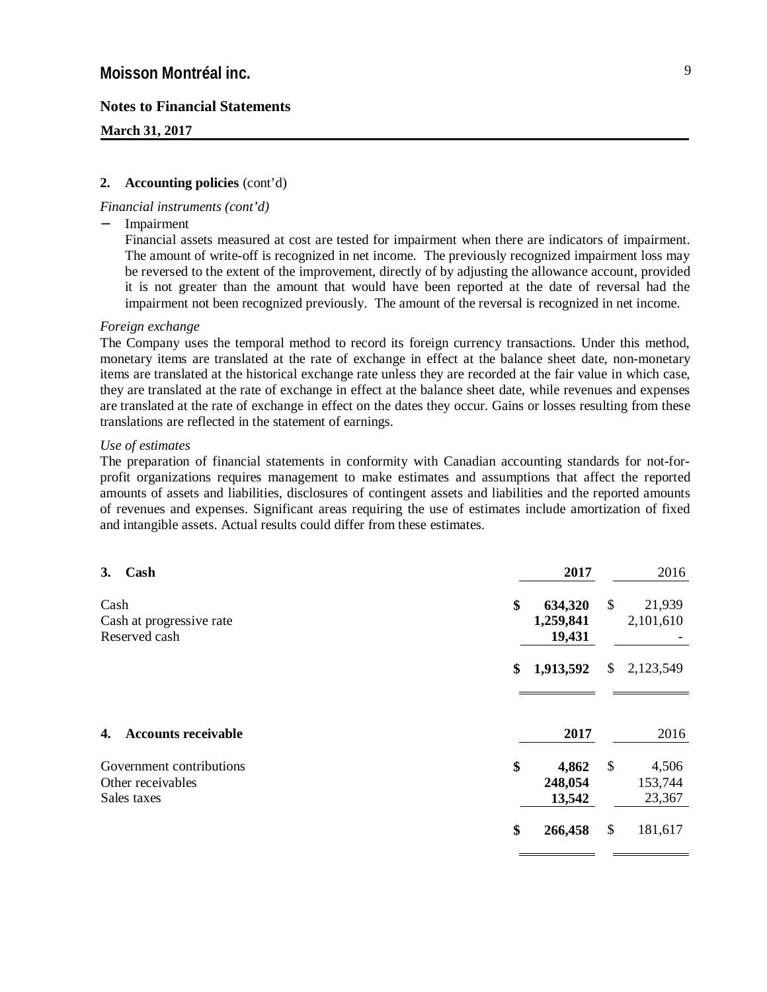**March 31, 2017**

#### **2. Accounting policies** (cont'd)

#### *Financial instruments (cont'd)*

Impairment

Financial assets measured at cost are tested for impairment when there are indicators of impairment. The amount of write-off is recognized in net income. The previously recognized impairment loss may be reversed to the extent of the improvement, directly of by adjusting the allowance account, provided it is not greater than the amount that would have been reported at the date of reversal had the impairment not been recognized previously. The amount of the reversal is recognized in net income.

#### *Foreign exchange*

The Company uses the temporal method to record its foreign currency transactions. Under this method, monetary items are translated at the rate of exchange in effect at the balance sheet date, non-monetary items are translated at the historical exchange rate unless they are recorded at the fair value in which case, they are translated at the rate of exchange in effect at the balance sheet date, while revenues and expenses are translated at the rate of exchange in effect on the dates they occur. Gains or losses resulting from these translations are reflected in the statement of earnings.

#### *Use of estimates*

The preparation of financial statements in conformity with Canadian accounting standards for not-forprofit organizations requires management to make estimates and assumptions that affect the reported amounts of assets and liabilities, disclosures of contingent assets and liabilities and the reported amounts of revenues and expenses. Significant areas requiring the use of estimates include amortization of fixed and intangible assets. Actual results could differ from these estimates.

| 3. | Cash                                                         | 2017                                 | 2016                             |
|----|--------------------------------------------------------------|--------------------------------------|----------------------------------|
|    | Cash<br>Cash at progressive rate<br>Reserved cash            | \$<br>634,320<br>1,259,841<br>19,431 | \$<br>21,939<br>2,101,610        |
|    |                                                              | \$<br>1,913,592                      | \$<br>2,123,549                  |
| 4. | <b>Accounts receivable</b>                                   | 2017                                 | 2016                             |
|    | Government contributions<br>Other receivables<br>Sales taxes | \$<br>4,862<br>248,054<br>13,542     | \$<br>4,506<br>153,744<br>23,367 |
|    |                                                              | \$<br>266,458                        | \$<br>181,617                    |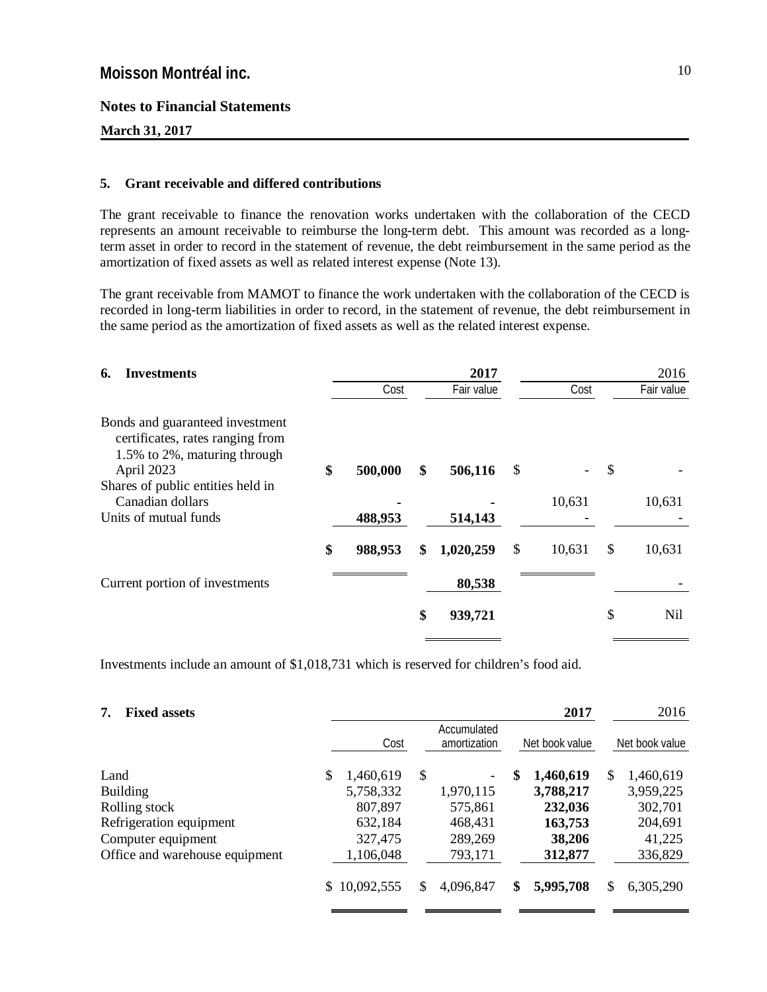**March 31, 2017**

#### **5. Grant receivable and differed contributions**

The grant receivable to finance the renovation works undertaken with the collaboration of the CECD represents an amount receivable to reimburse the long-term debt. This amount was recorded as a longterm asset in order to record in the statement of revenue, the debt reimbursement in the same period as the amortization of fixed assets as well as related interest expense (Note 13).

The grant receivable from MAMOT to finance the work undertaken with the collaboration of the CECD is recorded in long-term liabilities in order to record, in the statement of revenue, the debt reimbursement in the same period as the amortization of fixed assets as well as the related interest expense.

| <b>Investments</b><br>6.                                                                            |         |      | 2017       |              |                           | 2016       |
|-----------------------------------------------------------------------------------------------------|---------|------|------------|--------------|---------------------------|------------|
|                                                                                                     |         | Cost | Fair value | Cost         |                           | Fair value |
| Bonds and guaranteed investment<br>certificates, rates ranging from<br>1.5% to 2%, maturing through |         |      |            |              |                           |            |
| \$<br>April 2023                                                                                    | 500,000 | \$   | 506,116    | \$           | $\boldsymbol{\mathsf{S}}$ |            |
| Shares of public entities held in<br>Canadian dollars                                               |         |      |            | 10,631       |                           | 10,631     |
| Units of mutual funds                                                                               | 488,953 |      | 514,143    |              |                           |            |
| \$                                                                                                  | 988,953 | \$   | 1,020,259  | \$<br>10,631 | \$                        | 10,631     |
| Current portion of investments                                                                      |         |      | 80,538     |              |                           |            |
|                                                                                                     |         | \$   | 939,721    |              | \$                        | Nil        |

Investments include an amount of \$1,018,731 which is reserved for children's food aid.

| <b>Fixed assets</b><br>7.      |    |            |                                               |           |    | 2017      |   | 2016           |  |  |
|--------------------------------|----|------------|-----------------------------------------------|-----------|----|-----------|---|----------------|--|--|
|                                |    | Cost       | Accumulated<br>Net book value<br>amortization |           |    |           |   | Net book value |  |  |
| Land                           | \$ | 1,460,619  | \$                                            |           | \$ | 1,460,619 | S | 1,460,619      |  |  |
| <b>Building</b>                |    | 5,758,332  |                                               | 1,970,115 |    | 3,788,217 |   | 3,959,225      |  |  |
| Rolling stock                  |    | 807,897    |                                               | 575,861   |    | 232,036   |   | 302,701        |  |  |
| Refrigeration equipment        |    | 632,184    |                                               | 468,431   |    | 163,753   |   | 204,691        |  |  |
| Computer equipment             |    | 327,475    |                                               | 289,269   |    | 38,206    |   | 41,225         |  |  |
| Office and warehouse equipment |    | 1,106,048  |                                               | 793,171   |    | 312,877   |   | 336,829        |  |  |
|                                | S. | 10,092,555 | S                                             | 4,096,847 | \$ | 5,995,708 | S | 6,305,290      |  |  |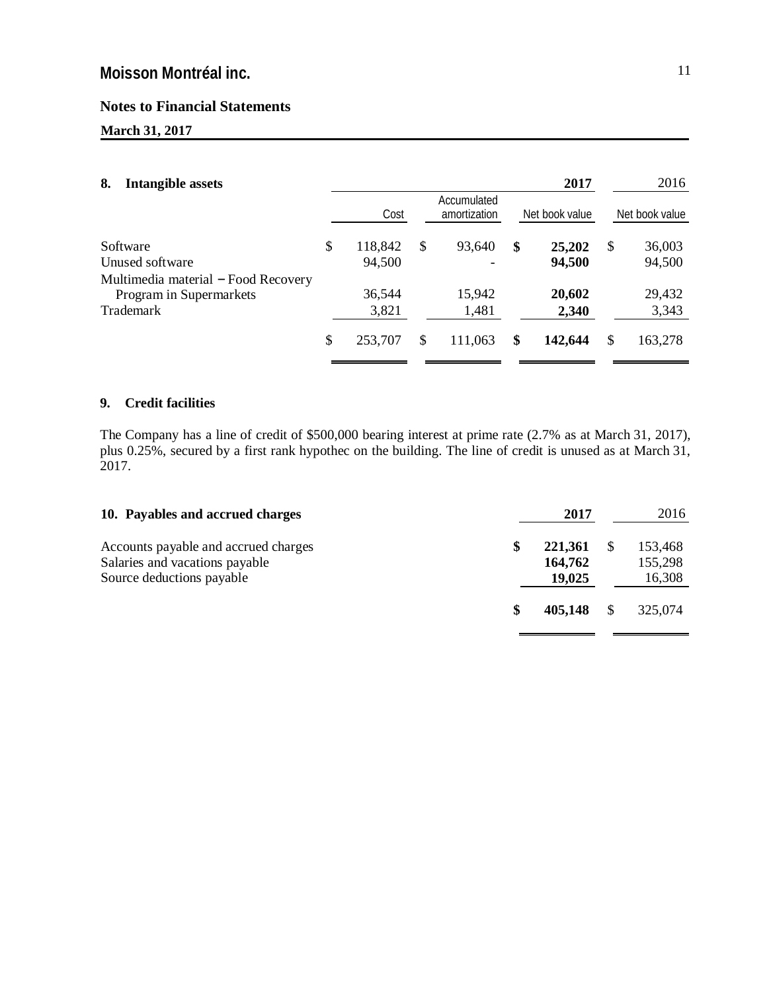### **Notes to Financial Statements**

## **March 31, 2017**

|                                     |               |                             | 2017          |                | 2016           |
|-------------------------------------|---------------|-----------------------------|---------------|----------------|----------------|
| Cost                                |               | Accumulated<br>amortization |               |                | Net book value |
| \$<br>118,842                       | <sup>\$</sup> | 93,640                      | \$<br>25,202  | \$             | 36,003         |
| 94,500                              |               |                             | 94,500        |                | 94,500         |
|                                     |               |                             |               |                |                |
| 36,544                              |               | 15,942                      | 20,602        |                | 29,432         |
| 3,821                               |               | 1,481                       | 2,340         |                | 3,343          |
| \$<br>253,707                       | <sup>\$</sup> | 111,063                     | \$<br>142,644 | S              | 163,278        |
| Multimedia material - Food Recovery |               |                             |               | Net book value |                |

### **9. Credit facilities**

The Company has a line of credit of \$500,000 bearing interest at prime rate (2.7% as at March 31, 2017), plus 0.25%, secured by a first rank hypothec on the building. The line of credit is unused as at March 31, 2017.

| 10. Payables and accrued charges                                                                    |   | 2017                         | 2016                         |
|-----------------------------------------------------------------------------------------------------|---|------------------------------|------------------------------|
| Accounts payable and accrued charges<br>Salaries and vacations payable<br>Source deductions payable | S | 221,361<br>164,762<br>19,025 | 153,468<br>155,298<br>16,308 |
|                                                                                                     |   | 405,148                      | 325,074                      |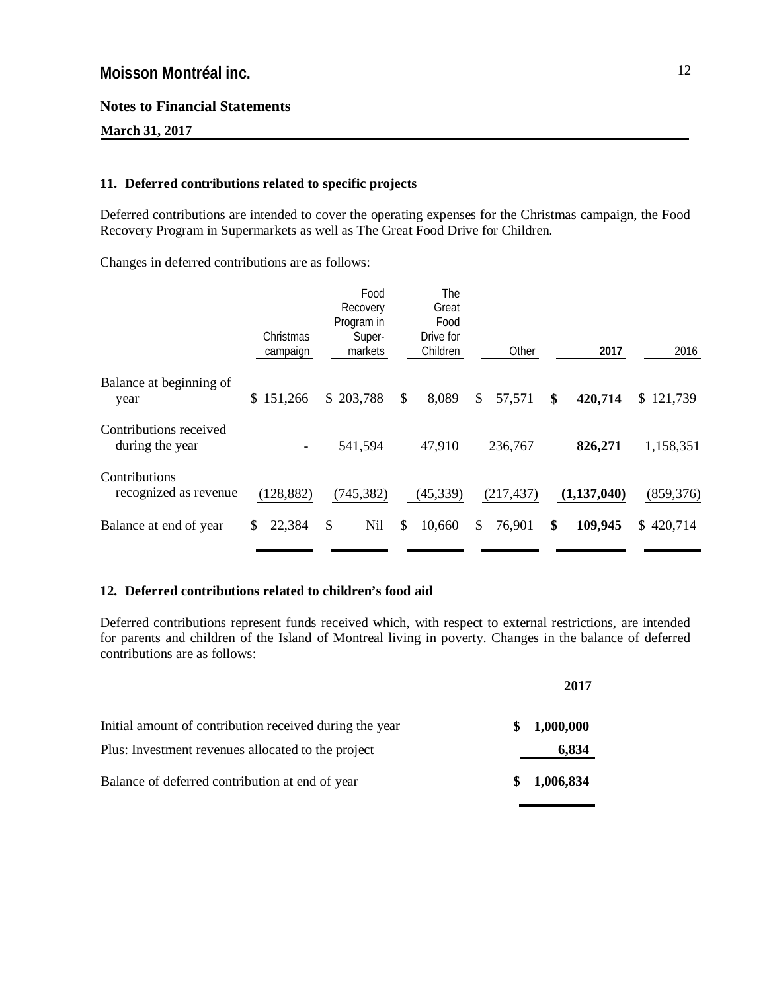**March 31, 2017**

### **11. Deferred contributions related to specific projects**

Deferred contributions are intended to cover the operating expenses for the Christmas campaign, the Food Recovery Program in Supermarkets as well as The Great Food Drive for Children.

Changes in deferred contributions are as follows:

|                                           | Christmas<br>campaign | Food<br>Recovery<br>Program in<br>Super-<br>markets | The<br>Great<br>Food<br>Drive for<br>Children |    | Other      | 2017          | 2016          |
|-------------------------------------------|-----------------------|-----------------------------------------------------|-----------------------------------------------|----|------------|---------------|---------------|
| Balance at beginning of<br>year           | 151,266<br>\$         | \$203,788                                           | \$<br>8,089                                   | \$ | 57,571     | \$<br>420,714 | \$121,739     |
| Contributions received<br>during the year |                       | 541,594                                             | 47,910                                        |    | 236,767    | 826,271       | 1,158,351     |
| Contributions<br>recognized as revenue    | (128, 882)            | (745, 382)                                          | (45, 339)                                     |    | (217, 437) | (1,137,040)   | (859, 376)    |
| Balance at end of year                    | 22,384<br>\$.         | <b>Nil</b><br>\$                                    | \$<br>10,660                                  | S. | 76,901     | \$<br>109,945 | 420,714<br>S. |

### **12. Deferred contributions related to children's food aid**

Deferred contributions represent funds received which, with respect to external restrictions, are intended for parents and children of the Island of Montreal living in poverty. Changes in the balance of deferred contributions are as follows:

|                                                         |   | 2017      |
|---------------------------------------------------------|---|-----------|
| Initial amount of contribution received during the year | S | 1,000,000 |
| Plus: Investment revenues allocated to the project      |   | 6,834     |
| Balance of deferred contribution at end of year         | S | 1,006,834 |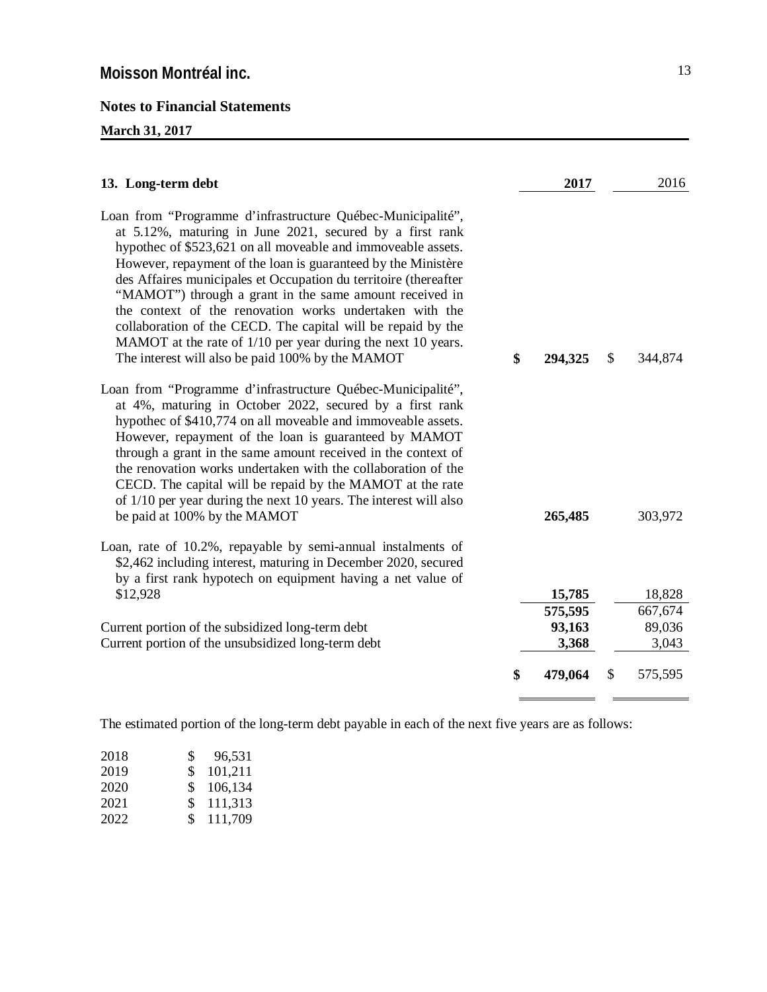### **March 31, 2017**

| 13. Long-term debt                                                                                                                                                                                                                                                                                                                                                                                                                                                                                                                                                                                                                     | 2017          | 2016          |
|----------------------------------------------------------------------------------------------------------------------------------------------------------------------------------------------------------------------------------------------------------------------------------------------------------------------------------------------------------------------------------------------------------------------------------------------------------------------------------------------------------------------------------------------------------------------------------------------------------------------------------------|---------------|---------------|
| Loan from "Programme d'infrastructure Québec-Municipalité",<br>at 5.12%, maturing in June 2021, secured by a first rank<br>hypothec of \$523,621 on all moveable and immoveable assets.<br>However, repayment of the loan is guaranteed by the Ministère<br>des Affaires municipales et Occupation du territoire (thereafter<br>"MAMOT") through a grant in the same amount received in<br>the context of the renovation works undertaken with the<br>collaboration of the CECD. The capital will be repaid by the<br>MAMOT at the rate of 1/10 per year during the next 10 years.<br>The interest will also be paid 100% by the MAMOT | \$<br>294,325 | \$<br>344,874 |
| Loan from "Programme d'infrastructure Québec-Municipalité",<br>at 4%, maturing in October 2022, secured by a first rank<br>hypothec of \$410,774 on all moveable and immoveable assets.<br>However, repayment of the loan is guaranteed by MAMOT<br>through a grant in the same amount received in the context of<br>the renovation works undertaken with the collaboration of the<br>CECD. The capital will be repaid by the MAMOT at the rate<br>of 1/10 per year during the next 10 years. The interest will also<br>be paid at 100% by the MAMOT                                                                                   | 265,485       | 303,972       |
| Loan, rate of 10.2%, repayable by semi-annual instalments of<br>\$2,462 including interest, maturing in December 2020, secured<br>by a first rank hypotech on equipment having a net value of<br>\$12,928                                                                                                                                                                                                                                                                                                                                                                                                                              | 15,785        | 18,828        |
|                                                                                                                                                                                                                                                                                                                                                                                                                                                                                                                                                                                                                                        |               |               |
|                                                                                                                                                                                                                                                                                                                                                                                                                                                                                                                                                                                                                                        | 575,595       | 667,674       |
| Current portion of the subsidized long-term debt                                                                                                                                                                                                                                                                                                                                                                                                                                                                                                                                                                                       | 93,163        | 89,036        |
| Current portion of the unsubsidized long-term debt                                                                                                                                                                                                                                                                                                                                                                                                                                                                                                                                                                                     | 3,368         | 3,043         |
|                                                                                                                                                                                                                                                                                                                                                                                                                                                                                                                                                                                                                                        | \$<br>479,064 | \$<br>575,595 |

The estimated portion of the long-term debt payable in each of the next five years are as follows:

| 2018 | S.             | 96,531  |
|------|----------------|---------|
| 2019 | \$.            | 101,211 |
| 2020 | SS.            | 106,134 |
| 2021 | S.             | 111,313 |
| 2022 | $\mathbb{S}^-$ | 111,709 |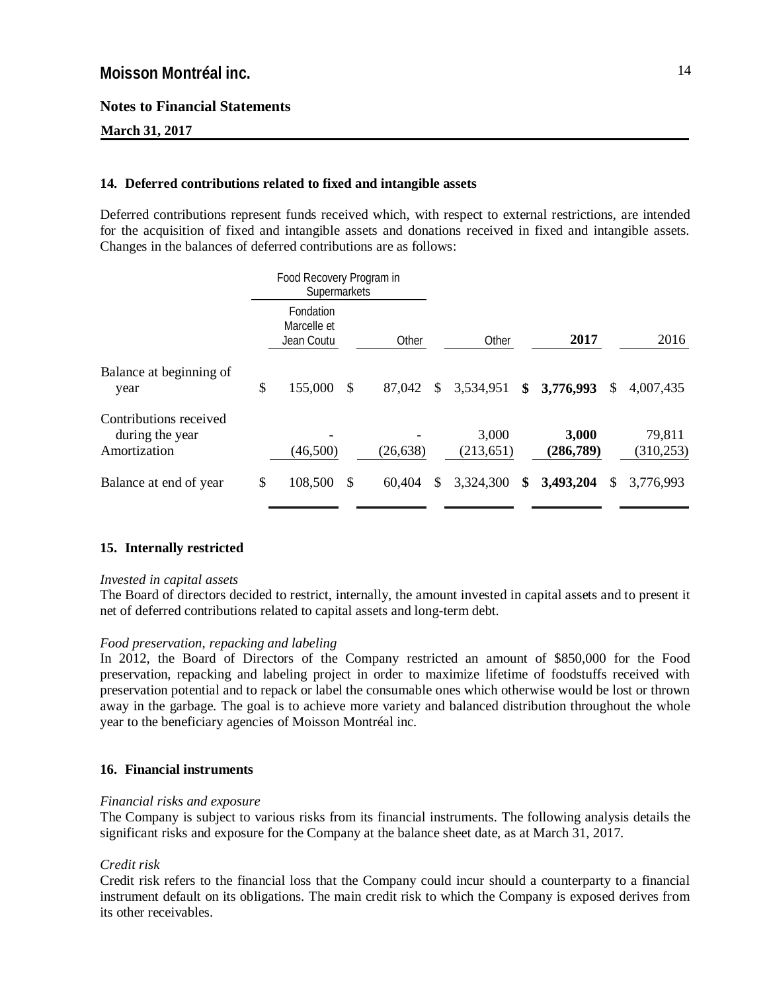**March 31, 2017**

### **14. Deferred contributions related to fixed and intangible assets**

Deferred contributions represent funds received which, with respect to external restrictions, are intended for the acquisition of fixed and intangible assets and donations received in fixed and intangible assets. Changes in the balances of deferred contributions are as follows:

|                                                           | Food Recovery Program in<br>Supermarkets |               |           |                     |                    |               |                      |
|-----------------------------------------------------------|------------------------------------------|---------------|-----------|---------------------|--------------------|---------------|----------------------|
|                                                           | Fondation<br>Marcelle et<br>Jean Coutu   |               | Other     | Other               | 2017               |               | 2016                 |
| Balance at beginning of<br>year                           | \$<br>155,000                            | -S            | 87,042    | \$<br>3,534,951     | \$<br>3,776,993    | <sup>\$</sup> | 4,007,435            |
| Contributions received<br>during the year<br>Amortization | (46,500)                                 |               | (26, 638) | 3,000<br>(213, 651) | 3,000<br>(286,789) |               | 79,811<br>(310, 253) |
| Balance at end of year                                    | \$<br>108,500                            | <sup>\$</sup> | 60,404    | \$<br>3,324,300     | \$<br>3,493,204    | \$            | 3,776,993            |

### **15. Internally restricted**

#### *Invested in capital assets*

The Board of directors decided to restrict, internally, the amount invested in capital assets and to present it net of deferred contributions related to capital assets and long-term debt.

### *Food preservation, repacking and labeling*

In 2012, the Board of Directors of the Company restricted an amount of \$850,000 for the Food preservation, repacking and labeling project in order to maximize lifetime of foodstuffs received with preservation potential and to repack or label the consumable ones which otherwise would be lost or thrown away in the garbage. The goal is to achieve more variety and balanced distribution throughout the whole year to the beneficiary agencies of Moisson Montréal inc.

### **16. Financial instruments**

### *Financial risks and exposure*

The Company is subject to various risks from its financial instruments. The following analysis details the significant risks and exposure for the Company at the balance sheet date, as at March 31, 2017.

### *Credit risk*

Credit risk refers to the financial loss that the Company could incur should a counterparty to a financial instrument default on its obligations. The main credit risk to which the Company is exposed derives from its other receivables.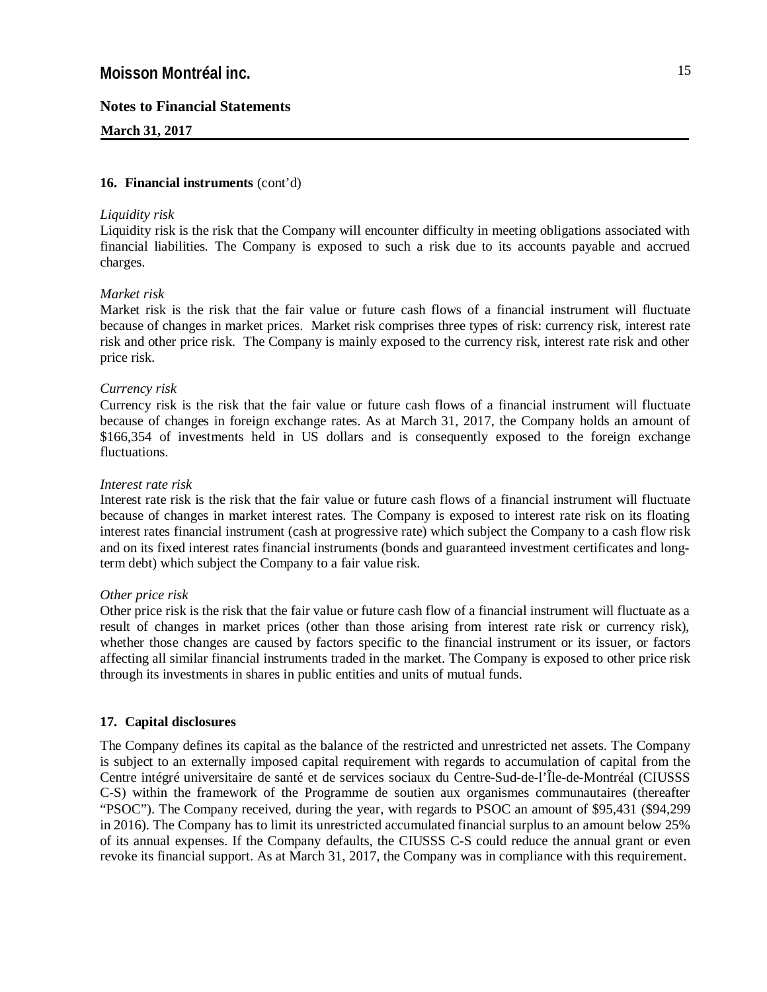#### **March 31, 2017**

#### **16. Financial instruments** (cont'd)

#### *Liquidity risk*

Liquidity risk is the risk that the Company will encounter difficulty in meeting obligations associated with financial liabilities. The Company is exposed to such a risk due to its accounts payable and accrued charges.

#### *Market risk*

Market risk is the risk that the fair value or future cash flows of a financial instrument will fluctuate because of changes in market prices. Market risk comprises three types of risk: currency risk, interest rate risk and other price risk. The Company is mainly exposed to the currency risk, interest rate risk and other price risk.

#### *Currency risk*

Currency risk is the risk that the fair value or future cash flows of a financial instrument will fluctuate because of changes in foreign exchange rates. As at March 31, 2017, the Company holds an amount of \$166,354 of investments held in US dollars and is consequently exposed to the foreign exchange fluctuations.

#### *Interest rate risk*

Interest rate risk is the risk that the fair value or future cash flows of a financial instrument will fluctuate because of changes in market interest rates. The Company is exposed to interest rate risk on its floating interest rates financial instrument (cash at progressive rate) which subject the Company to a cash flow risk and on its fixed interest rates financial instruments (bonds and guaranteed investment certificates and longterm debt) which subject the Company to a fair value risk.

#### *Other price risk*

Other price risk is the risk that the fair value or future cash flow of a financial instrument will fluctuate as a result of changes in market prices (other than those arising from interest rate risk or currency risk), whether those changes are caused by factors specific to the financial instrument or its issuer, or factors affecting all similar financial instruments traded in the market. The Company is exposed to other price risk through its investments in shares in public entities and units of mutual funds.

#### **17. Capital disclosures**

The Company defines its capital as the balance of the restricted and unrestricted net assets. The Company is subject to an externally imposed capital requirement with regards to accumulation of capital from the Centre intégré universitaire de santé et de services sociaux du Centre-Sud-de-l'Île-de-Montréal (CIUSSS C-S) within the framework of the Programme de soutien aux organismes communautaires (thereafter "PSOC"). The Company received, during the year, with regards to PSOC an amount of \$95,431 (\$94,299 in 2016). The Company has to limit its unrestricted accumulated financial surplus to an amount below 25% of its annual expenses. If the Company defaults, the CIUSSS C-S could reduce the annual grant or even revoke its financial support. As at March 31, 2017, the Company was in compliance with this requirement.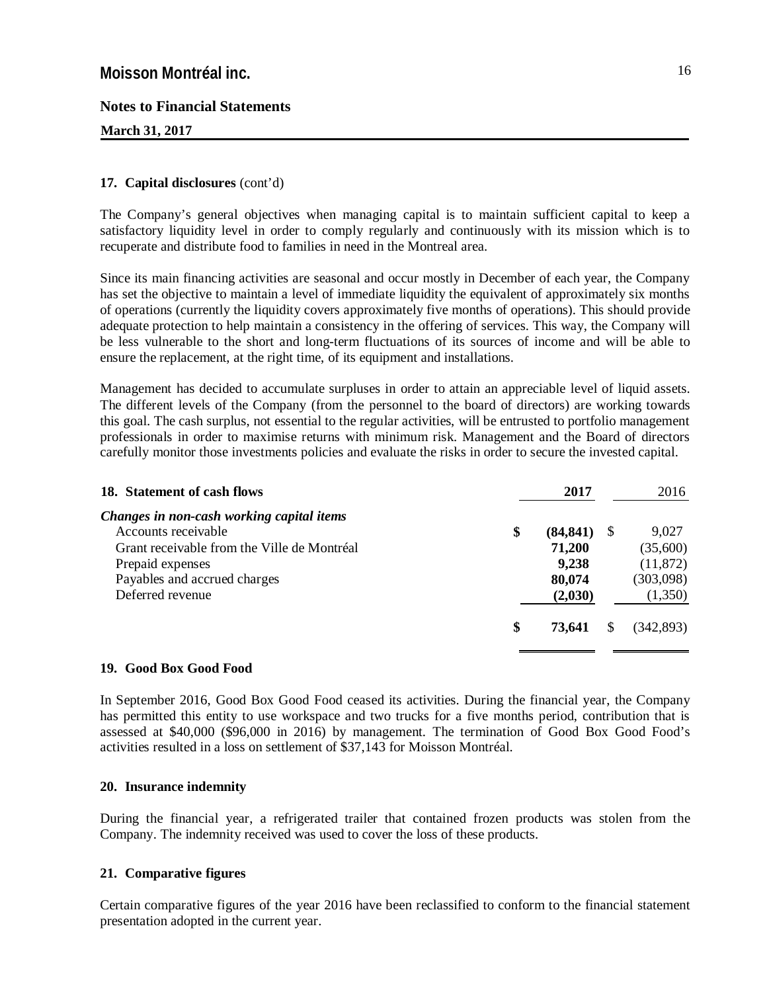**March 31, 2017**

### **17. Capital disclosures** (cont'd)

The Company's general objectives when managing capital is to maintain sufficient capital to keep a satisfactory liquidity level in order to comply regularly and continuously with its mission which is to recuperate and distribute food to families in need in the Montreal area.

Since its main financing activities are seasonal and occur mostly in December of each year, the Company has set the objective to maintain a level of immediate liquidity the equivalent of approximately six months of operations (currently the liquidity covers approximately five months of operations). This should provide adequate protection to help maintain a consistency in the offering of services. This way, the Company will be less vulnerable to the short and long-term fluctuations of its sources of income and will be able to ensure the replacement, at the right time, of its equipment and installations.

Management has decided to accumulate surpluses in order to attain an appreciable level of liquid assets. The different levels of the Company (from the personnel to the board of directors) are working towards this goal. The cash surplus, not essential to the regular activities, will be entrusted to portfolio management professionals in order to maximise returns with minimum risk. Management and the Board of directors carefully monitor those investments policies and evaluate the risks in order to secure the invested capital.

| 18. Statement of cash flows                 | 2017            |    | 2016      |
|---------------------------------------------|-----------------|----|-----------|
| Changes in non-cash working capital items   |                 |    |           |
| Accounts receivable                         | \$<br>(84, 841) | -S | 9,027     |
| Grant receivable from the Ville de Montréal | 71,200          |    | (35,600)  |
| Prepaid expenses                            | 9,238           |    | (11, 872) |
| Payables and accrued charges                | 80,074          |    | (303,098) |
| Deferred revenue                            | (2,030)         |    | (1,350)   |
|                                             | \$<br>73,641    |    | (342.893) |
|                                             |                 |    |           |

### **19. Good Box Good Food**

In September 2016, Good Box Good Food ceased its activities. During the financial year, the Company has permitted this entity to use workspace and two trucks for a five months period, contribution that is assessed at \$40,000 (\$96,000 in 2016) by management. The termination of Good Box Good Food's activities resulted in a loss on settlement of \$37,143 for Moisson Montréal.

#### **20. Insurance indemnity**

During the financial year, a refrigerated trailer that contained frozen products was stolen from the Company. The indemnity received was used to cover the loss of these products.

### **21. Comparative figures**

Certain comparative figures of the year 2016 have been reclassified to conform to the financial statement presentation adopted in the current year.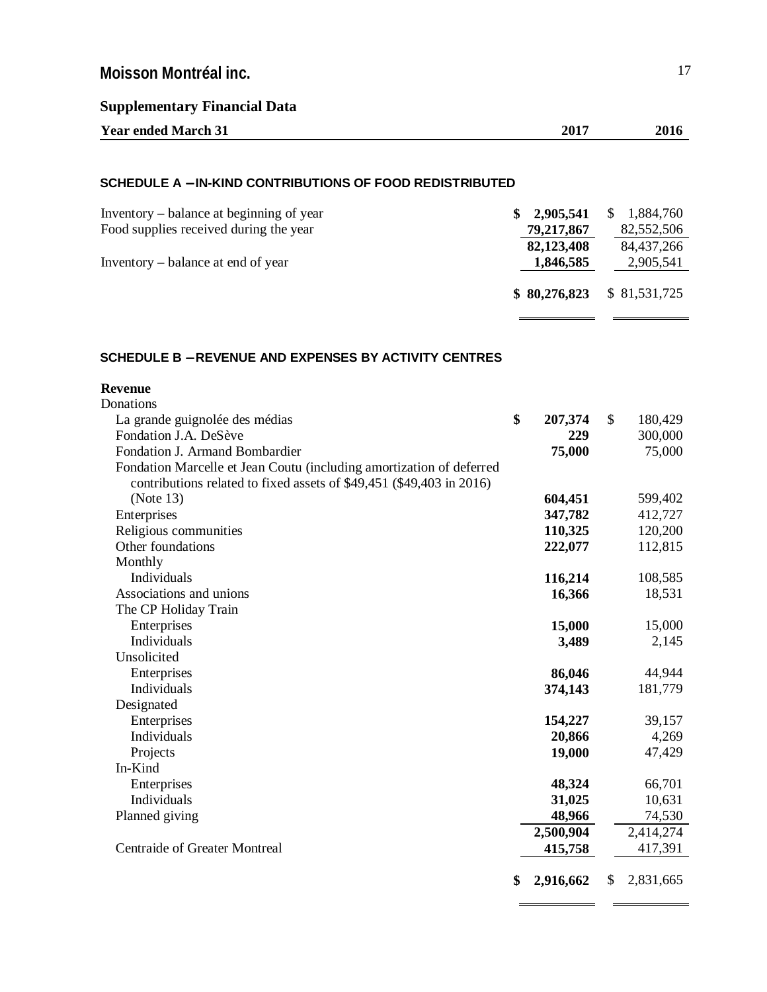| <b>Supplementary Financial Data</b> |  |  |
|-------------------------------------|--|--|
|-------------------------------------|--|--|

| <b>Year ended March 31</b> | 2017 | 2016 |
|----------------------------|------|------|
|                            |      |      |

### **SCHEDULE A** - **IN-KIND CONTRIBUTIONS OF FOOD REDISTRIBUTED**

| Inventory – balance at beginning of year | 2,905,541    | 1,884,760     |
|------------------------------------------|--------------|---------------|
| Food supplies received during the year   | 79,217,867   | 82,552,506    |
|                                          | 82,123,408   | 84,437,266    |
| Inventory – balance at end of year       | 1,846,585    | 2,905,541     |
|                                          | \$80,276,823 | \$ 81,531,725 |

### **SCHEDULE B** - **REVENUE AND EXPENSES BY ACTIVITY CENTRES**

| <b>Revenue</b>                                                       |                 |              |           |
|----------------------------------------------------------------------|-----------------|--------------|-----------|
| Donations                                                            |                 |              |           |
| La grande guignolée des médias                                       | \$<br>207,374   | $\mathbb{S}$ | 180,429   |
| Fondation J.A. DeSève                                                | 229             |              | 300,000   |
| Fondation J. Armand Bombardier                                       | 75,000          |              | 75,000    |
| Fondation Marcelle et Jean Coutu (including amortization of deferred |                 |              |           |
| contributions related to fixed assets of \$49,451 (\$49,403 in 2016) |                 |              |           |
| (Note 13)                                                            | 604,451         |              | 599,402   |
| Enterprises                                                          | 347,782         |              | 412,727   |
| Religious communities                                                | 110,325         |              | 120,200   |
| Other foundations                                                    | 222,077         |              | 112,815   |
| Monthly                                                              |                 |              |           |
| Individuals                                                          | 116,214         |              | 108,585   |
| Associations and unions                                              | 16,366          |              | 18,531    |
| The CP Holiday Train                                                 |                 |              |           |
| Enterprises                                                          | 15,000          |              | 15,000    |
| Individuals                                                          | 3,489           |              | 2,145     |
| Unsolicited                                                          |                 |              |           |
| Enterprises                                                          | 86,046          |              | 44,944    |
| Individuals                                                          | 374,143         |              | 181,779   |
| Designated                                                           |                 |              |           |
| Enterprises                                                          | 154,227         |              | 39,157    |
| Individuals                                                          | 20,866          |              | 4,269     |
| Projects                                                             | 19,000          |              | 47,429    |
| In-Kind                                                              |                 |              |           |
| Enterprises                                                          | 48,324          |              | 66,701    |
| Individuals                                                          | 31,025          |              | 10,631    |
| Planned giving                                                       | 48,966          |              | 74,530    |
|                                                                      | 2,500,904       |              | 2,414,274 |
| <b>Centraide of Greater Montreal</b>                                 | 415,758         |              | 417,391   |
|                                                                      |                 |              |           |
|                                                                      | \$<br>2,916,662 | \$           | 2,831,665 |
|                                                                      |                 |              |           |

 $\blacksquare$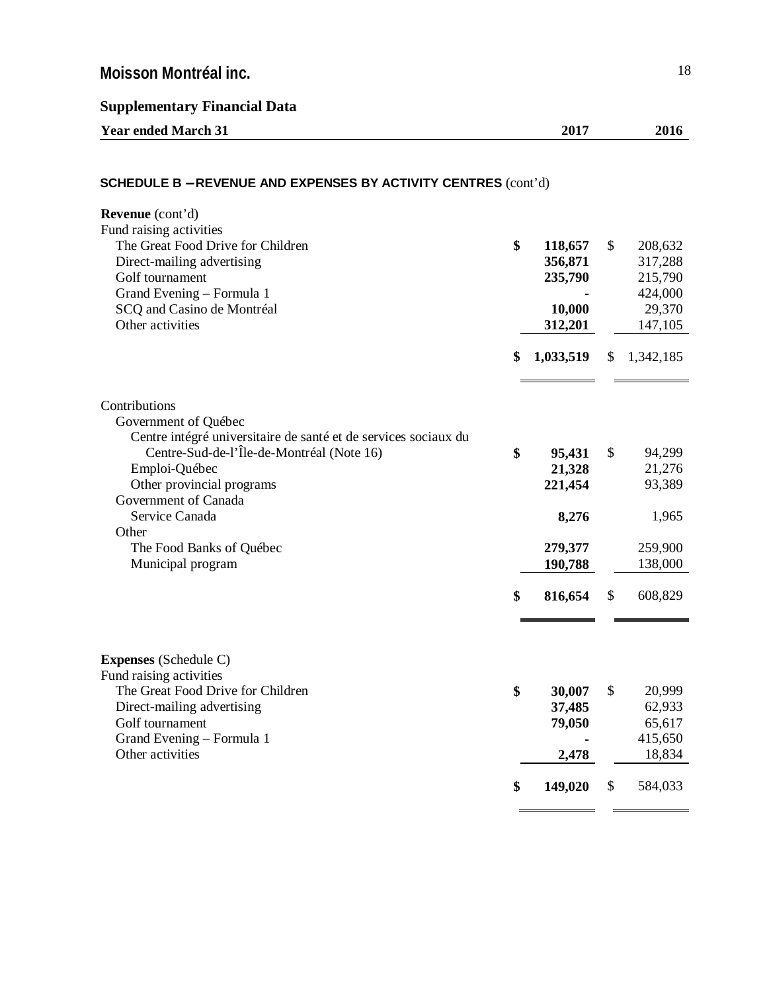**Supplementary Financial Data**

| <b>Year ended March 31</b>                                            | 2017          | 2016          |
|-----------------------------------------------------------------------|---------------|---------------|
| <b>SCHEDULE B - REVENUE AND EXPENSES BY ACTIVITY CENTRES (cont'd)</b> |               |               |
| <b>Revenue</b> (cont'd)                                               |               |               |
| Fund raising activities                                               |               |               |
| The Great Food Drive for Children                                     | \$<br>118,657 | \$<br>208,632 |
| Direct-mailing advertising                                            | 356,871       | 317,288       |
| Golf tournament                                                       | 235,790       | 215,790       |
| $C$ <sub>rand</sub> Examing Equal $\sim 1$                            |               | 12100         |

| $\frac{1}{2}$<br>Golf tournament<br>Grand Evening - Formula 1<br>SCQ and Casino de Montréal<br>Other activities            | JJV907.1<br>235,790<br>10,000<br>312,201 | <sub>ن</sub> سپر<br>215,790<br>424,000<br>29,370<br>147,105 |
|----------------------------------------------------------------------------------------------------------------------------|------------------------------------------|-------------------------------------------------------------|
|                                                                                                                            | \$<br>1,033,519                          | \$<br>1,342,185                                             |
| Contributions<br>Government of Québec<br>Centre intégré universitaire de santé et de services sociaux du                   |                                          |                                                             |
| Centre-Sud-de-l'Île-de-Montréal (Note 16)<br>Emploi-Québec<br>Other provincial programs<br>Government of Canada            | \$<br>95,431<br>21,328<br>221,454        | \$<br>94,299<br>21,276<br>93,389                            |
| Service Canada<br>Other<br>The Food Banks of Québec<br>Municipal program                                                   | 8,276<br>279,377<br>190,788              | 1,965<br>259,900<br>138,000                                 |
|                                                                                                                            | \$<br>816,654                            | \$<br>608,829                                               |
| <b>Expenses</b> (Schedule C)<br>Fund raising activities<br>The Great Food Drive for Children<br>Direct-mailing advertising | \$<br>30,007<br>37,485                   | \$<br>20,999<br>62,933                                      |
| Golf tournament<br>Grand Evening – Formula 1<br>Other activities                                                           | \$<br>79,050<br>2,478                    | 65,617<br>415,650<br>18,834                                 |
|                                                                                                                            | 149,020                                  | \$<br>584,033                                               |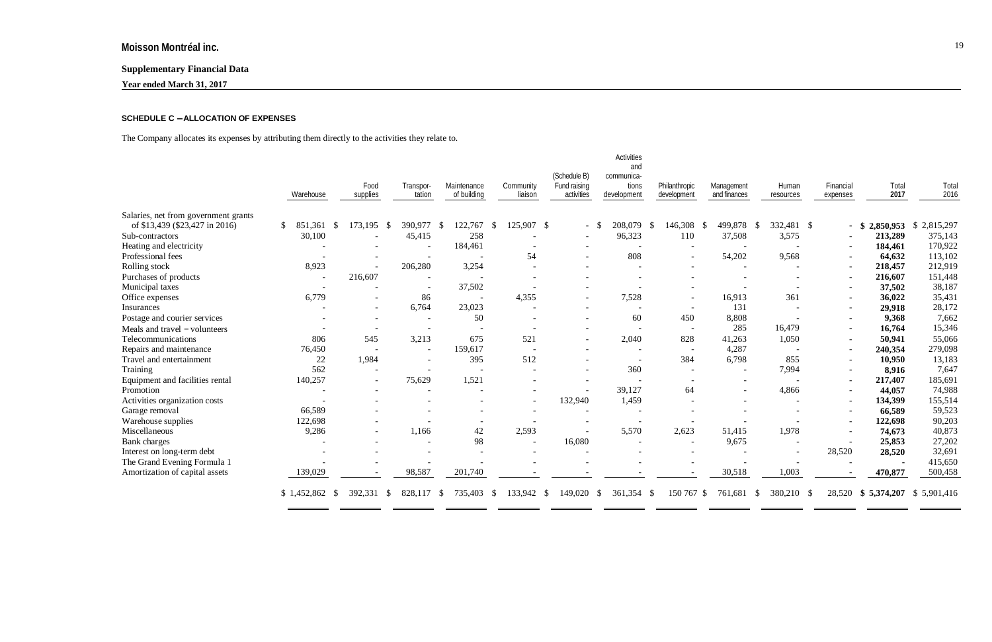# **Supplementary Financial Data**

**Year ended March 31, 2017**

### **SCHEDULE C** - **ALLOCATION OF EXPENSES**

The Company allocates its expenses by attributing them directly to the activities they relate to.

|                                      | Warehouse                                    | Food<br>supplies         | Transpor-<br>tation      | Maintenance<br>of building | Community<br>liaison     | (Schedule B)<br>Fund raising<br>activities | <b>Activities</b><br>and<br>communica-<br>tions<br>development | Philanthropic<br>development | Management<br>and finances | Human<br>resources       | Financial<br>expenses    | Total<br>2017       | Total<br>2016 |
|--------------------------------------|----------------------------------------------|--------------------------|--------------------------|----------------------------|--------------------------|--------------------------------------------|----------------------------------------------------------------|------------------------------|----------------------------|--------------------------|--------------------------|---------------------|---------------|
| Salaries, net from government grants |                                              |                          |                          |                            |                          |                                            |                                                                |                              |                            |                          |                          |                     |               |
| of \$13,439 (\$23,427 in 2016)       | $\mathbb{S}$<br>851<br>.361<br><sup>\$</sup> | 173,195<br>- \$          | 390,977                  | -S<br>122,767              | 125,907 \$<br>-S         | $\overline{\phantom{a}}$                   | 208,079<br>-S                                                  | 146,308<br>- \$              | 499,878<br>$\mathcal{S}$   | 332,481 \$<br>- \$       |                          | 2,850,953<br>$-$ \$ | \$2,815,297   |
| Sub-contractors                      | 30,100                                       |                          | 45,415                   | 258                        |                          |                                            | 96,323                                                         | 110                          | 37,508                     | 3,575                    |                          | 213,289             | 375,143       |
| Heating and electricity              |                                              |                          | $\overline{\phantom{a}}$ | 184,461                    |                          |                                            |                                                                |                              |                            |                          | $\overline{\phantom{a}}$ | 184,461             | 170,922       |
| Professional fees                    |                                              |                          |                          |                            | 54                       | $\overline{\phantom{a}}$                   | 808                                                            | $\overline{\phantom{a}}$     | 54,202                     | 9,568                    | $\overline{\phantom{a}}$ | 64,632              | 113,102       |
| Rolling stock                        | 8,923                                        | $\overline{\phantom{a}}$ | 206,280                  | 3,254                      |                          |                                            |                                                                |                              |                            | $\overline{\phantom{a}}$ | $\overline{\phantom{0}}$ | 218,457             | 212,919       |
| Purchases of products                |                                              | 216,607                  |                          |                            |                          |                                            |                                                                |                              |                            |                          | $\overline{\phantom{a}}$ | 216,607             | 151,448       |
| Municipal taxes                      |                                              |                          |                          | 37,502                     |                          |                                            |                                                                |                              |                            |                          | $\overline{\phantom{a}}$ | 37,502              | 38,187        |
| Office expenses                      | 6,779                                        | $\overline{\phantom{a}}$ | 86                       |                            | 4,355                    |                                            | 7,528                                                          | $\overline{\phantom{a}}$     | 16,913                     | 361                      | $\overline{\phantom{a}}$ | 36,022              | 35,431        |
| Insurances                           |                                              | $\overline{\phantom{a}}$ | 6,764                    | 23,023                     |                          |                                            | $\overline{\phantom{a}}$                                       | $\overline{\phantom{a}}$     | 131                        |                          |                          | 29,918              | 28,172        |
| Postage and courier services         |                                              | $\overline{\phantom{a}}$ | $\overline{\phantom{a}}$ | 50                         | $\overline{\phantom{a}}$ |                                            | 60                                                             | 450                          | 8,808                      |                          | $\overline{\phantom{a}}$ | 9,368               | 7,662         |
| Meals and travel - volunteers        |                                              | $\overline{\phantom{a}}$ | $\overline{\phantom{a}}$ |                            | $\overline{\phantom{a}}$ |                                            | $\overline{\phantom{a}}$                                       | $\overline{a}$               | 285                        | 16,479                   | $\overline{\phantom{a}}$ | 16,764              | 15,346        |
| Telecommunications                   | 806                                          | 545                      | 3,213                    | 675                        | 521                      |                                            | 2,040                                                          | 828                          | 41,263                     | 1,050                    | $\overline{\phantom{a}}$ | 50,941              | 55,066        |
| Repairs and maintenance              | 76,450                                       | $\overline{\phantom{a}}$ | $\overline{\phantom{a}}$ | 159,617                    | $\overline{\phantom{a}}$ |                                            | $\overline{\phantom{a}}$                                       | $\overline{\phantom{a}}$     | 4,287                      | $\overline{\phantom{a}}$ | $\overline{\phantom{a}}$ | 240,354             | 279,098       |
| Travel and entertainment             | 22                                           | 1,984                    | $\overline{\phantom{a}}$ | 395                        | 512                      |                                            |                                                                | 384                          | 6,798                      | 855                      |                          | 10,950              | 13,183        |
| Training                             | 562                                          | $\overline{\phantom{a}}$ |                          |                            |                          |                                            | 360                                                            | $\overline{\phantom{a}}$     |                            | 7,994                    |                          | 8,916               | 7,647         |
| Equipment and facilities rental      | 140,257                                      | $\overline{\phantom{a}}$ | 75,629                   | 1,521                      |                          |                                            |                                                                | $\overline{\phantom{a}}$     |                            |                          | $\overline{\phantom{a}}$ | 217,407             | 185,691       |
| Promotion                            |                                              |                          |                          |                            |                          |                                            | 39,127                                                         | 64                           |                            | 4,866                    |                          | 44,057              | 74,988        |
| Activities organization costs        |                                              |                          |                          |                            | $\overline{\phantom{0}}$ | 132,940                                    | 1,459                                                          |                              |                            |                          | $\overline{\phantom{0}}$ | 134,399             | 155,514       |
| Garage removal                       | 66,589                                       |                          |                          |                            |                          |                                            | $\overline{\phantom{a}}$                                       |                              |                            |                          |                          | 66,589              | 59,523        |
| Warehouse supplies                   | 122,698                                      |                          | $\overline{\phantom{0}}$ |                            |                          |                                            |                                                                |                              |                            |                          | $\overline{\phantom{a}}$ | 122,698             | 90,203        |
| Miscellaneous                        | 9,286                                        | $\overline{\phantom{a}}$ | 1,166                    | 42                         | 2,593                    |                                            | 5,570                                                          | 2,623                        | 51,415                     | 1,978                    |                          | 74,673              | 40,873        |
| <b>Bank</b> charges                  |                                              |                          |                          | 98                         | $\overline{\phantom{a}}$ | 16,080                                     |                                                                |                              | 9,675                      |                          |                          | 25,853              | 27,202        |
| Interest on long-term debt           |                                              |                          |                          |                            |                          |                                            |                                                                |                              |                            |                          | 28,520                   | 28,520              | 32,691        |
| The Grand Evening Formula 1          |                                              |                          |                          |                            |                          |                                            |                                                                |                              |                            |                          |                          |                     | 415,650       |
| Amortization of capital assets       | 139,029                                      |                          | 98,587                   | 201,740                    |                          |                                            |                                                                |                              | 30,518                     | 1,003                    |                          | 470,877             | 500,458       |